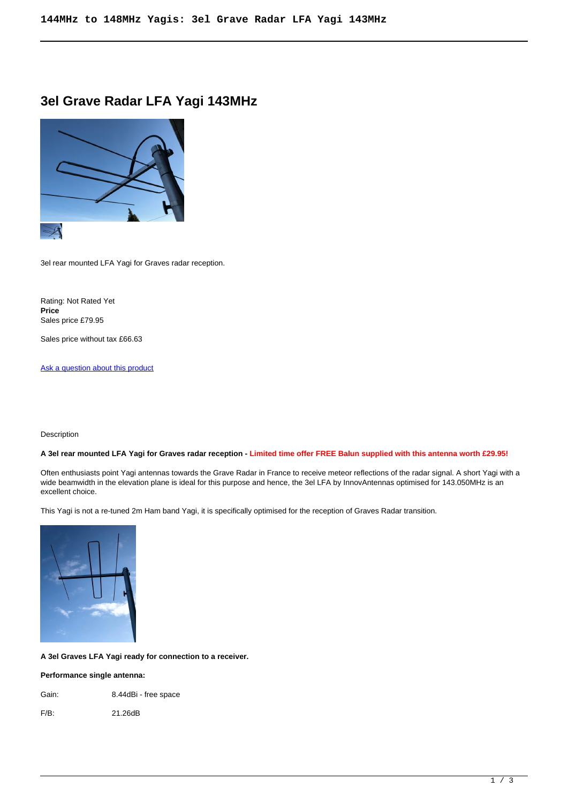# **3el Grave Radar LFA Yagi 143MHz**



3el rear mounted LFA Yagi for Graves radar reception.

Rating: Not Rated Yet **Price**  Sales price £79.95

Sales price without tax £66.63

[Ask a question about this product](https://innovantennas.com/index.php?option=com_virtuemart&view=productdetails&task=askquestion&virtuemart_product_id=553&virtuemart_category_id=1&tmpl=component)

Description

# **A 3el rear mounted LFA Yagi for Graves radar reception - Limited time offer FREE Balun supplied with this antenna worth £29.95!**

Often enthusiasts point Yagi antennas towards the Grave Radar in France to receive meteor reflections of the radar signal. A short Yagi with a wide beamwidth in the elevation plane is ideal for this purpose and hence, the 3el LFA by InnovAntennas optimised for 143.050MHz is an excellent choice.

This Yagi is not a re-tuned 2m Ham band Yagi, it is specifically optimised for the reception of Graves Radar transition.



**A 3el Graves LFA Yagi ready for connection to a receiver.**

## **Performance single antenna:**

Gain: 8.44dBi - free space

F/B: 21.26dB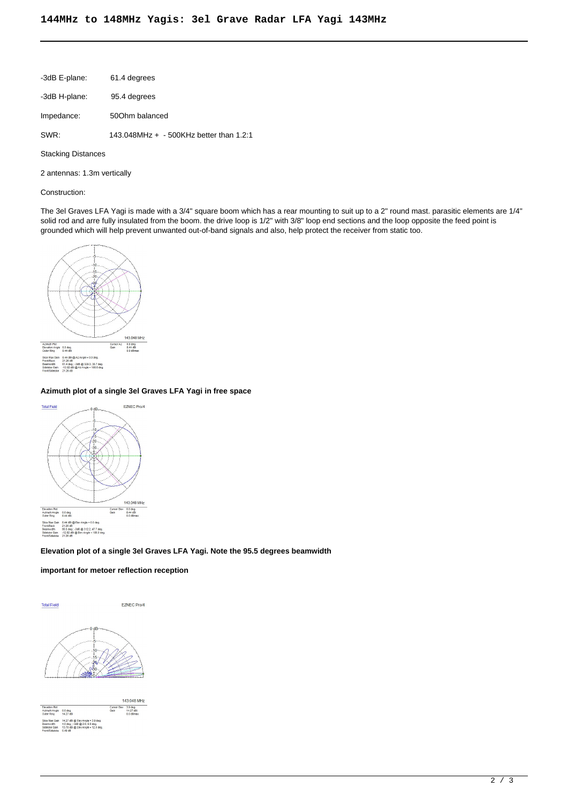| -3dB E-plane: | 61.4 degrees                              |
|---------------|-------------------------------------------|
| -3dB H-plane: | 95.4 degrees                              |
| Impedance:    | 500hm balanced                            |
| SWR:          | 143.048MHz $+$ - 500KHz better than 1.2:1 |

Stacking Distances

2 antennas: 1.3m vertically

#### Construction:

The 3el Graves LFA Yagi is made with a 3/4" square boom which has a rear mounting to suit up to a 2" round mast. parasitic elements are 1/4" solid rod and arre fully insulated from the boom. the drive loop is 1/2" with 3/8" loop end sections and the loop opposite the feed point is grounded which will help prevent unwanted out-of-band signals and also, help protect the receiver from static too.



# **Azimuth plot of a single 3el Graves LFA Yagi in free space**



#### **Elevation plot of a single 3el Graves LFA Yagi. Note the 95.5 degrees beamwidth**

## **important for metoer reflection reception**